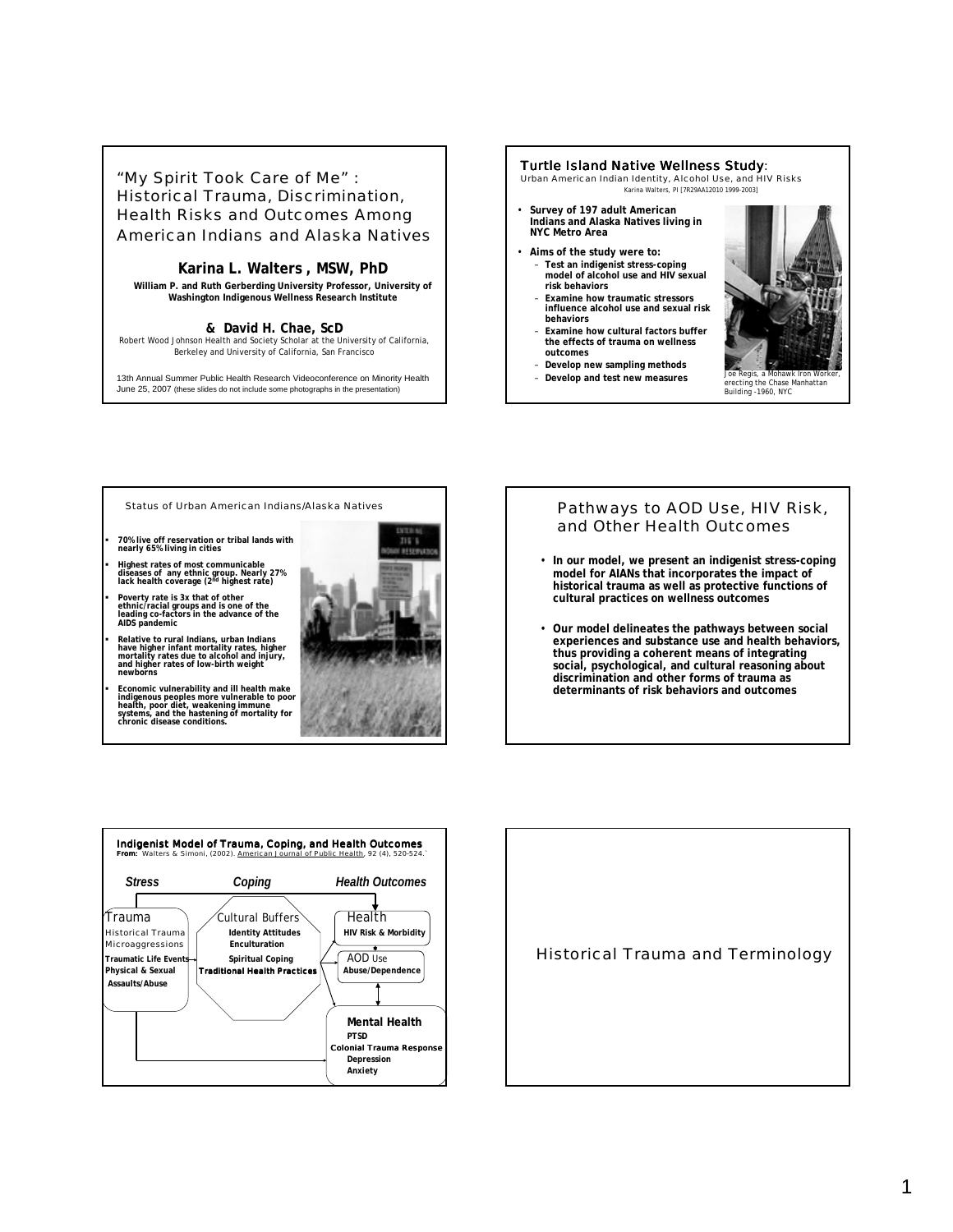"My Spirit Took Care of Me" : Historical Trauma, Discrimination, Health Risks and Outcomes Among American Indians and Alaska Natives

### **Karina L. Walters , MSW, PhD**

**William P. and Ruth Gerberding University Professor, University of Washington Indigenous Wellness Research Institute**

#### **& David H. Chae, ScD**

Robert Wood Johnson Health and Society Scholar at the University of California, Berkeley and University of California, San Francisco

13th Annual Summer Public Health Research Videoconference on Minority Health June 25, 2007 (these slides do not include some photographs in the presentation)

#### Turtle Island Native Wellness Study:

Urban American Indian Identity, Alcohol Use, and HIV Risks Karina Walters, PI [7R29AA12010 1999-2003]

- **Survey of 197 adult American Indians and Alaska Natives living in NYC Metro Area**
- **Aims of the study were to:**
	- **Test an indigenist stress-coping model of alcohol use and HIV sexual risk behaviors**
	- **Examine how traumatic stressors influence alcohol use and sexual risk behaviors**
	- **Examine how cultural factors buffer the effects of trauma on wellness outcomes**
	- **Develop new sampling methods**



erecting the Chase Manhattan Building -1960, NYC

Status of Urban American Indians/Alaska Natives

- ! **70% live off reservation or tribal lands with nearly 65% living in cities**
- ! **Highest rates of most communicable diseases of any ethnic group. Nearly 27% lack health coverage (2nd highest rate)**

! **Poverty rate is 3x that of other ethnic/racial groups and is one of the leading co-factors in the advance of the AIDS pandemic**

! **Relative to rural Indians, urban Indians have higher infant mortality rates, higher mortality rates due to alcohol and injury, and higher rates of low-birth weight newborns**

Economic vulnerability and ill health make<br>indigenous peoples more vulnerable to poor<br>health, poor diet, weakening immune<br>systems, and the hastening of mortality for<br>chronic disease conditions.



# Pathways to AOD Use, HIV Risk, and Other Health Outcomes

- **In our model, we present an indigenist stress-coping model for AIANs that incorporates the impact of historical trauma as well as protective functions of cultural practices on wellness outcomes**
- **Our model delineates the pathways between social experiences and substance use and health behaviors, thus providing a coherent means of integrating social, psychological, and cultural reasoning about discrimination and other forms of trauma as determinants of risk behaviors and outcomes**



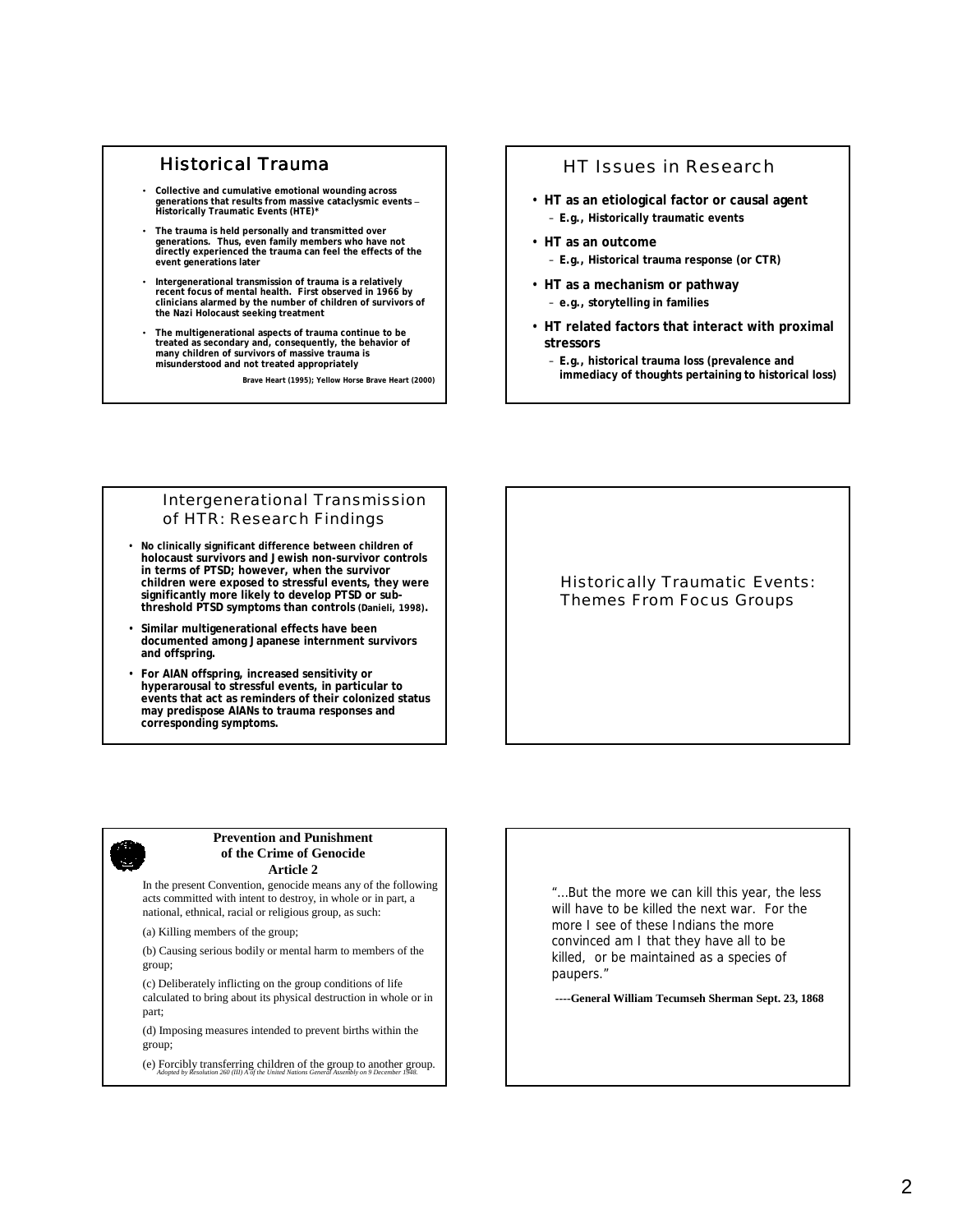### Historical Trauma

- **Collective and cumulative emotional wounding across generations that results from massive cataclysmic events – Historically Traumatic Events (HTE)\***
- **The trauma is held personally and transmitted over generations. Thus, even family members who have not directly experienced the trauma can feel the effects of the event generations later**
- **Intergenerational transmission of trauma is a relatively recent focus of mental health. First observed in 1966 by clinicians alarmed by the number of children of survivors of the Nazi Holocaust seeking treatment**
- **The multigenerational aspects of trauma continue to be treated as secondary and, consequently, the behavior of many children of survivors of massive trauma is misunderstood and not treated appropriately**

**Brave Heart (1995); Yellow Horse Brave Heart (2000)**

# HT Issues in Research

- **HT as an etiological factor or causal agent** – **E.g., Historically traumatic events**
- **HT as an outcome** – **E.g., Historical trauma response (or CTR)**
- **HT as a mechanism or pathway** – **e.g., storytelling in families**
- **HT related factors that interact with proximal stressors**
	- **E.g., historical trauma loss (prevalence and immediacy of thoughts pertaining to historical loss)**

### Intergenerational Transmission of HTR: Research Findings

- **No clinically significant difference between children of holocaust survivors and Jewish non-survivor controls in terms of PTSD; however, when the survivor children were exposed to stressful events, they were significantly more likely to develop PTSD or subthreshold PTSD symptoms than controls (Danieli, 1998).**
- **Similar multigenerational effects have been documented among Japanese internment survivors and offspring.**
- **For AIAN offspring, increased sensitivity or hyperarousal to stressful events, in particular to events that act as reminders of their colonized status may predispose AIANs to trauma responses and corresponding symptoms.**

### Historically Traumatic Events: Themes From Focus Groups

#### **Prevention and Punishment of the Crime of Genocide Article 2**

In the present Convention, genocide means any of the following acts committed with intent to destroy, in whole or in part, a national, ethnical, racial or religious group, as such:

(a) Killing members of the group;

(b) Causing serious bodily or mental harm to members of the group;

(c) Deliberately inflicting on the group conditions of life calculated to bring about its physical destruction in whole or in part;

(d) Imposing measures intended to prevent births within the group;

(e) Forcibly transferring children of the group to another group.

"…But the more we can kill this year, the less will have to be killed the next war. For the more I see of these Indians the more convinced am I that they have all to be killed, or be maintained as a species of paupers."

**----General William Tecumseh Sherman Sept. 23, 1868**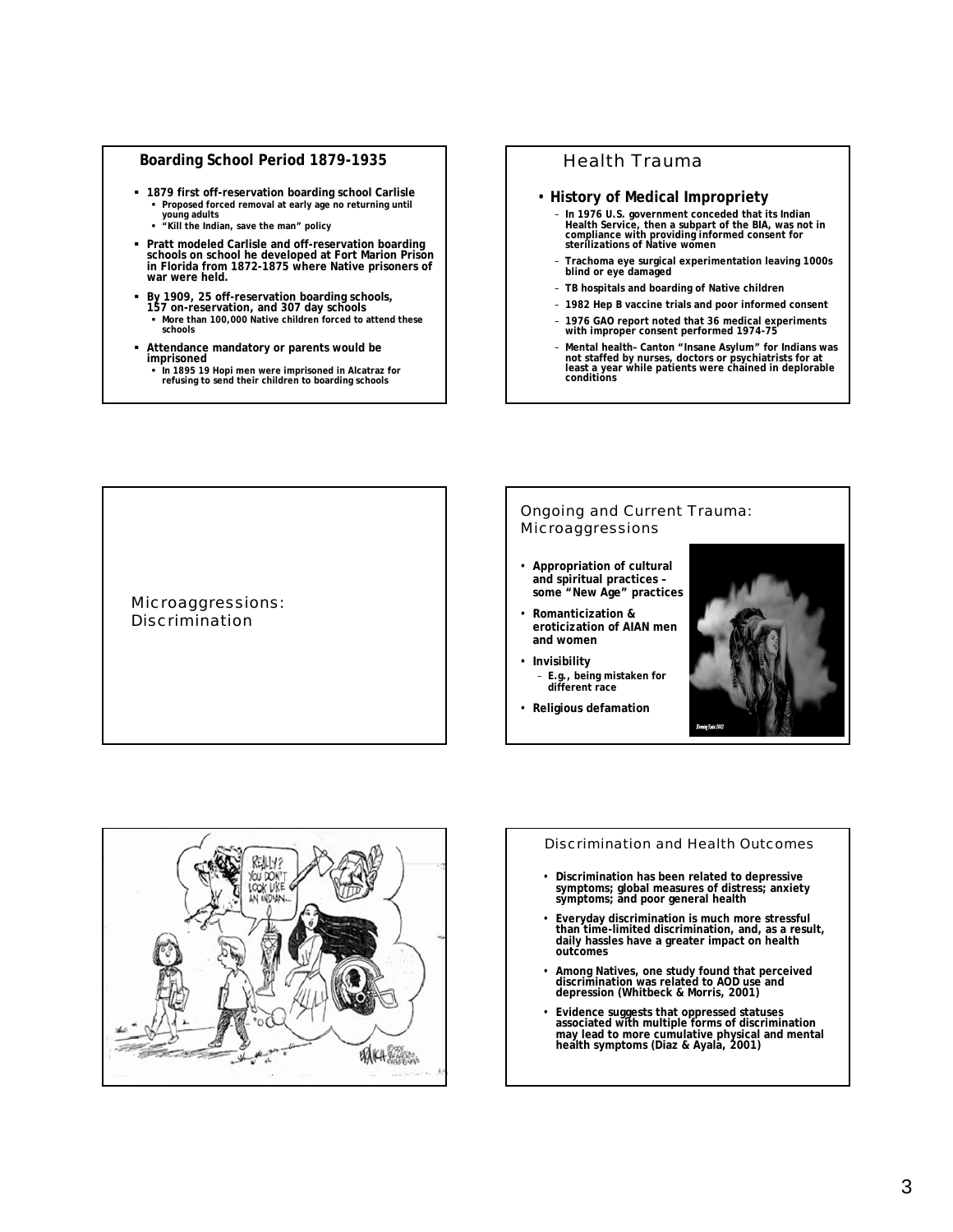### **Boarding School Period 1879-1935**

- ! **1879 first off-reservation boarding school Carlisle** ! **Proposed forced removal at early age no returning until** 
	- **young adults** ! **"Kill the Indian, save the man" policy**
- ! **Pratt modeled Carlisle and off-reservation boarding schools on school he developed at Fort Marion Prison in Florida from 1872-1875 where Native prisoners of war were held.**
- ! **By 1909, 25 off-reservation boarding schools, 157 on-reservation, and 307 day schools**  ! **More than 100,000 Native children forced to attend these schools**
- ! **Attendance mandatory or parents would be imprisoned**
	- ! **In 1895 19 Hopi men were imprisoned in Alcatraz for refusing to send their children to boarding schools**

# Health Trauma

#### • **History of Medical Impropriety**

- **In 1976 U.S. government conceded that its Indian Health Service, then a subpart of the BIA, was not in compliance with providing informed consent for sterilizations of Native women**
- **Trachoma eye surgical experimentation leaving 1000s blind or eye damaged**
- **TB hospitals and boarding of Native children**
- **1982 Hep B vaccine trials and poor informed consent**
- **1976 GAO report noted that 36 medical experiments with improper consent performed 1974-75**
- **Mental health– Canton "Insane Asylum" for Indians was not staffed by nurses, doctors or psychiatrists for at least a year while patients were chained in deplorable conditions**

Microaggressions: Discrimination

#### Ongoing and Current Trauma: Microaggressions

- **Appropriation of cultural and spiritual practices – some "New Age" practices**
- **Romanticization & eroticization of AIAN men and women**
- **Invisibility**
- **E.g., being mistaken for different race**
- **Religious defamation**





#### Discrimination and Health Outcomes

- **Discrimination has been related to depressive symptoms; global measures of distress; anxiety symptoms; and poor general health**
- **Everyday discrimination is much more stressful than time-limited discrimination, and, as a result, daily hassles have a greater impact on health outcomes**
- **Among Natives, one study found that perceived discrimination was related to AOD use and depression (Whitbeck & Morris, 2001)**
- **Evidence suggests that oppressed statuses associated with multiple forms of discrimination may lead to more cumulative physical and mental health symptoms (Diaz & Ayala, 2001)**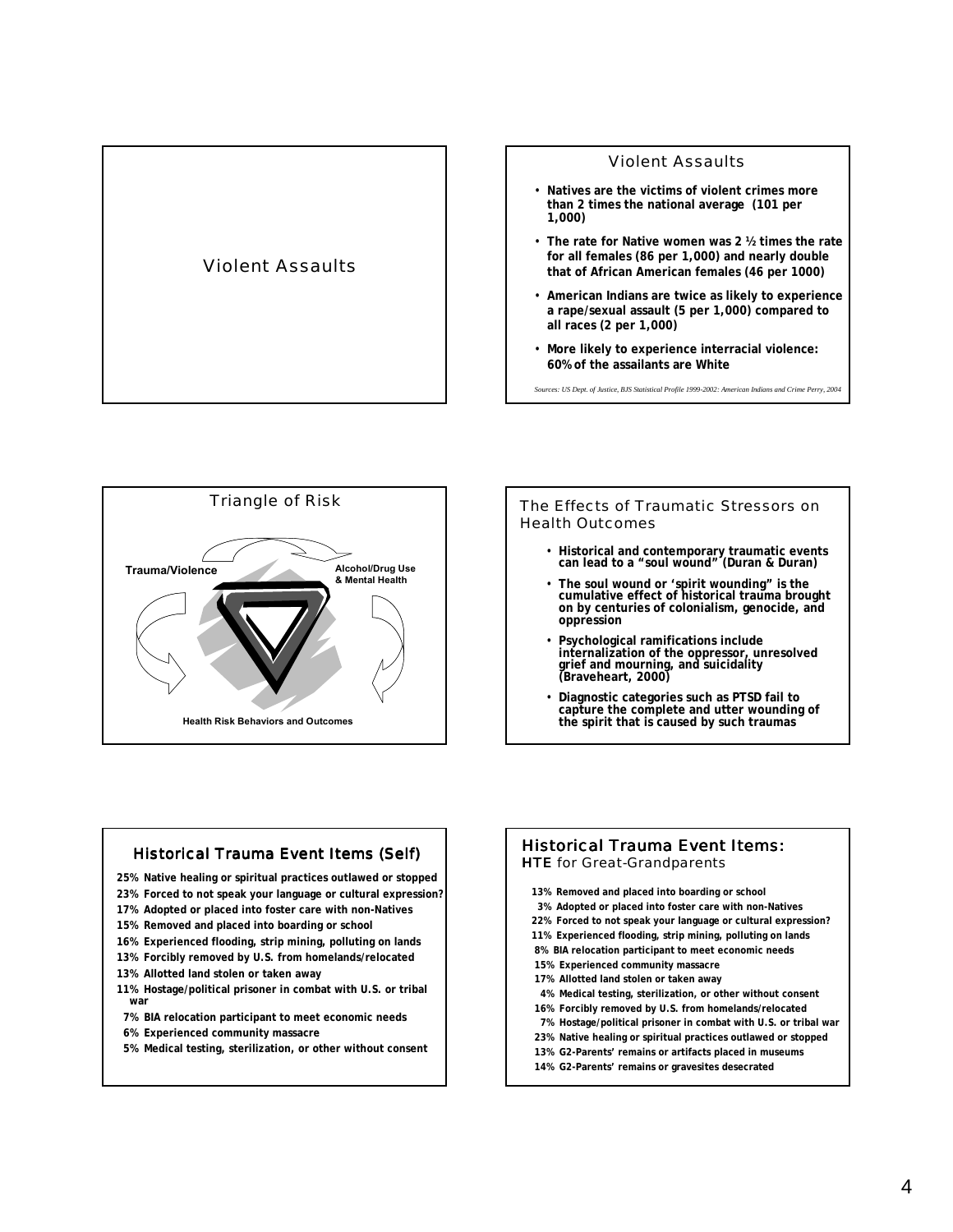





The Effects of Traumatic Stressors on Health Outcomes

- **Historical and contemporary traumatic events can lead to a "soul wound" (Duran & Duran)**
- **The soul wound or 'spirit wounding" is the cumulative effect of historical trauma brought on by centuries of colonialism, genocide, and oppression**
- **Psychological ramifications include internalization of the oppressor, unresolved grief and mourning, and suicidality (Braveheart, 2000)**
- **Diagnostic categories such as PTSD fail to capture the complete and utter wounding of the spirit that is caused by such traumas**



- **25% Native healing or spiritual practices outlawed or stopped**
- **23% Forced to not speak your language or cultural expression?**
- **17% Adopted or placed into foster care with non-Natives**
- **15% Removed and placed into boarding or school**
- **16% Experienced flooding, strip mining, polluting on lands**
- **13% Forcibly removed by U.S. from homelands/relocated**
- **13% Allotted land stolen or taken away**
- **11% Hostage/political prisoner in combat with U.S. or tribal war**
- **7% BIA relocation participant to meet economic needs**
- **6% Experienced community massacre**
- **5% Medical testing, sterilization, or other without consent**

#### Historical Trauma Event Items: **HTE** for Great-Grandparents

- **13% Removed and placed into boarding or school**
- **3% Adopted or placed into foster care with non-Natives**
- **22% Forced to not speak your language or cultural expression?**
- **11% Experienced flooding, strip mining, polluting on lands**
- **8% BIA relocation participant to meet economic needs**
- **15% Experienced community massacre**
- **17% Allotted land stolen or taken away**
- **4% Medical testing, sterilization, or other without consent**
- **16% Forcibly removed by U.S. from homelands/relocated**
- **7% Hostage/political prisoner in combat with U.S. or tribal war 23% Native healing or spiritual practices outlawed or stopped**
- **13% G2-Parents' remains or artifacts placed in museums**
- **14% G2-Parents' remains or gravesites desecrated**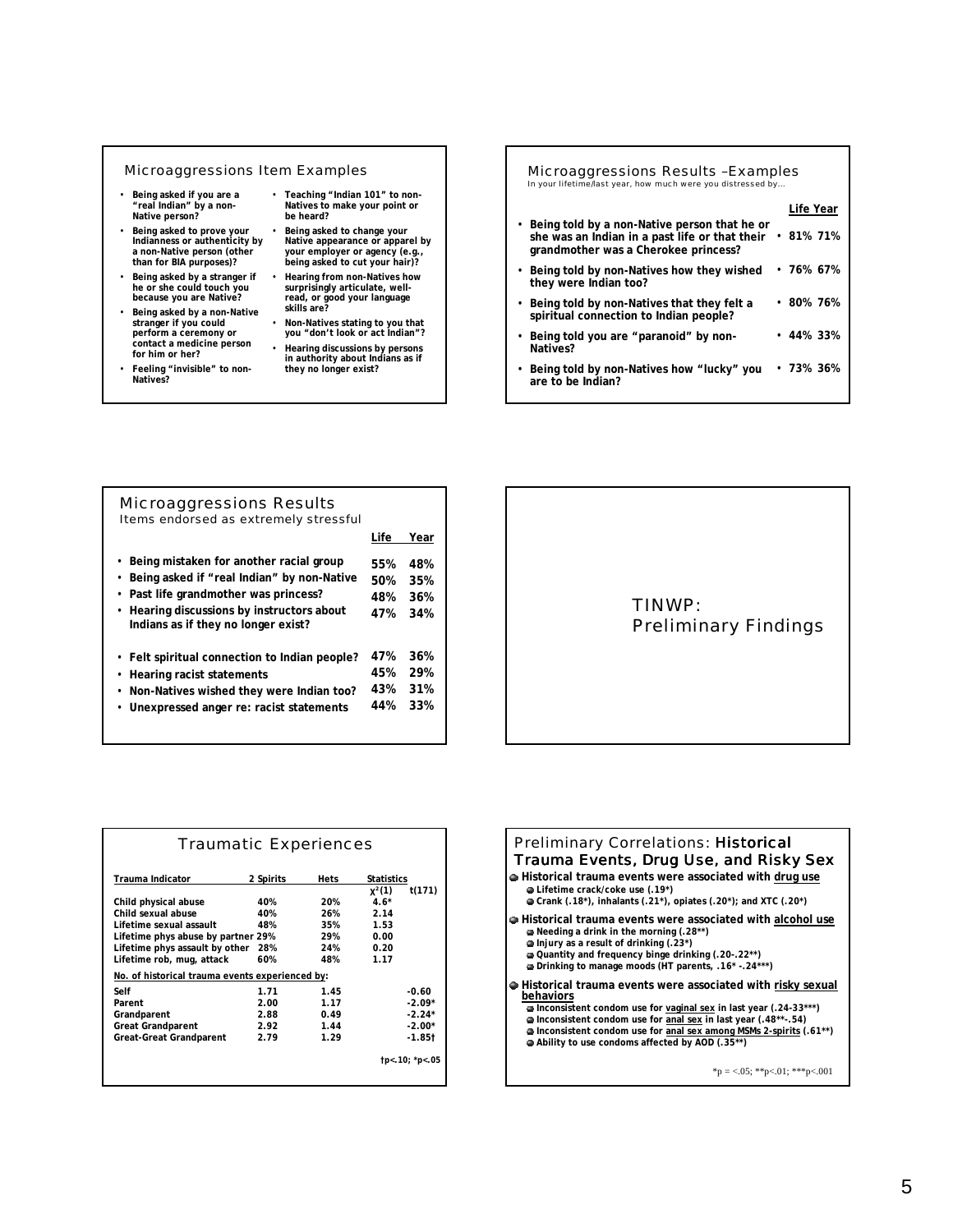#### Microaggressions Item Examples

- **Being asked if you are a "real Indian" by a non-Native person?**
- **Being asked to prove your Indianness or authenticity by a non-Native person (other than for BIA purposes)?**
- **Being asked by a stranger if he or she could touch you because you are Native?**
- **Being asked by a non-Native stranger if you could perform a ceremony or contact a medicine person for him or her?**
- **Feeling "invisible" to non-Natives?**
- **Teaching "Indian 101" to non-Natives to make your point or be heard?**
- **Being asked to change your Native appearance or apparel by your employer or agency (e.g., being asked to cut your hair)?**
- **Hearing from non-Natives how surprisingly articulate, well-read, or good your language skills are?**
- **Non-Natives stating to you that you "don't look or act Indian"?**
- **Hearing discussions by persons in authority about Indians as if they no longer exist?**

| Microaggressions Results-Examples<br>In your lifetime/last year, how much were you distressed by                                         |                 |  |
|------------------------------------------------------------------------------------------------------------------------------------------|-----------------|--|
|                                                                                                                                          | Life Year       |  |
| • Being told by a non-Native person that he or<br>she was an Indian in a past life or that their<br>grandmother was a Cherokee princess? | • 81% 71%       |  |
| • Being told by non-Natives how they wished<br>they were Indian too?                                                                     | • 76% 67%       |  |
| • Being told by non-Natives that they felt a<br>spiritual connection to Indian people?                                                   | • 80% 76%       |  |
| • Being told you are "paranoid" by non-<br>Natives?                                                                                      | $\cdot$ 44% 33% |  |
| Being told by non-Natives how "lucky" you<br>are to be Indian?                                                                           | • 73% 36%       |  |

| Microaggressions Results<br>Items endorsed as extremely stressful                                                                                                                                                                           |                          |                          |
|---------------------------------------------------------------------------------------------------------------------------------------------------------------------------------------------------------------------------------------------|--------------------------|--------------------------|
|                                                                                                                                                                                                                                             | Life                     | Year                     |
| Being mistaken for another racial group<br>$\bullet$<br>Being asked if "real Indian" by non-Native<br>Past life grandmother was princess?<br>$\bullet$<br>• Hearing discussions by instructors about<br>Indians as if they no longer exist? | 55%<br>50%<br>48%<br>47% | 48%<br>35%<br>36%<br>34% |
| • Felt spiritual connection to Indian people?<br>• Hearing racist statements<br>Non-Natives wished they were Indian too?<br>$\bullet$<br>Unexpressed anger re: racist statements                                                            | 47%<br>45%<br>43%<br>44% | 36%<br>29%<br>31%<br>33% |



|                                                 | <b>Traumatic Experiences</b> |      |                   |                |
|-------------------------------------------------|------------------------------|------|-------------------|----------------|
| Trauma Indicator                                | 2 Spirits                    | Hets | <b>Statistics</b> |                |
|                                                 |                              |      | $x^2(1)$          | t(171)         |
| Child physical abuse                            | 40%                          | 20%  | $4.6*$            |                |
| Child sexual abuse                              | 40%                          | 26%  | 2.14              |                |
| Lifetime sexual assault                         | 48%                          | 35%  | 1.53              |                |
| Lifetime phys abuse by partner 29%              |                              | 29%  | 0.00              |                |
| Lifetime phys assault by other                  | 28%                          | 24%  | 0.20              |                |
| Lifetime rob, mug, attack                       | 60%                          | 48%  | 1.17              |                |
| No. of historical trauma events experienced by: |                              |      |                   |                |
| Self                                            | 1.71                         | 145  |                   | $-0.60$        |
| Parent                                          | 2.00                         | 1.17 |                   | $-2.09*$       |
| Grandparent                                     | 2.88                         | 0.49 |                   | $-2.24*$       |
| <b>Great Grandparent</b>                        | 2.92                         | 1.44 |                   | $-2.00*$       |
| <b>Great-Great Grandparent</b>                  | 2.79                         | 1.29 |                   | $-1.85$ t      |
|                                                 |                              |      |                   | tp<.10; *p<.05 |
|                                                 |                              |      |                   |                |

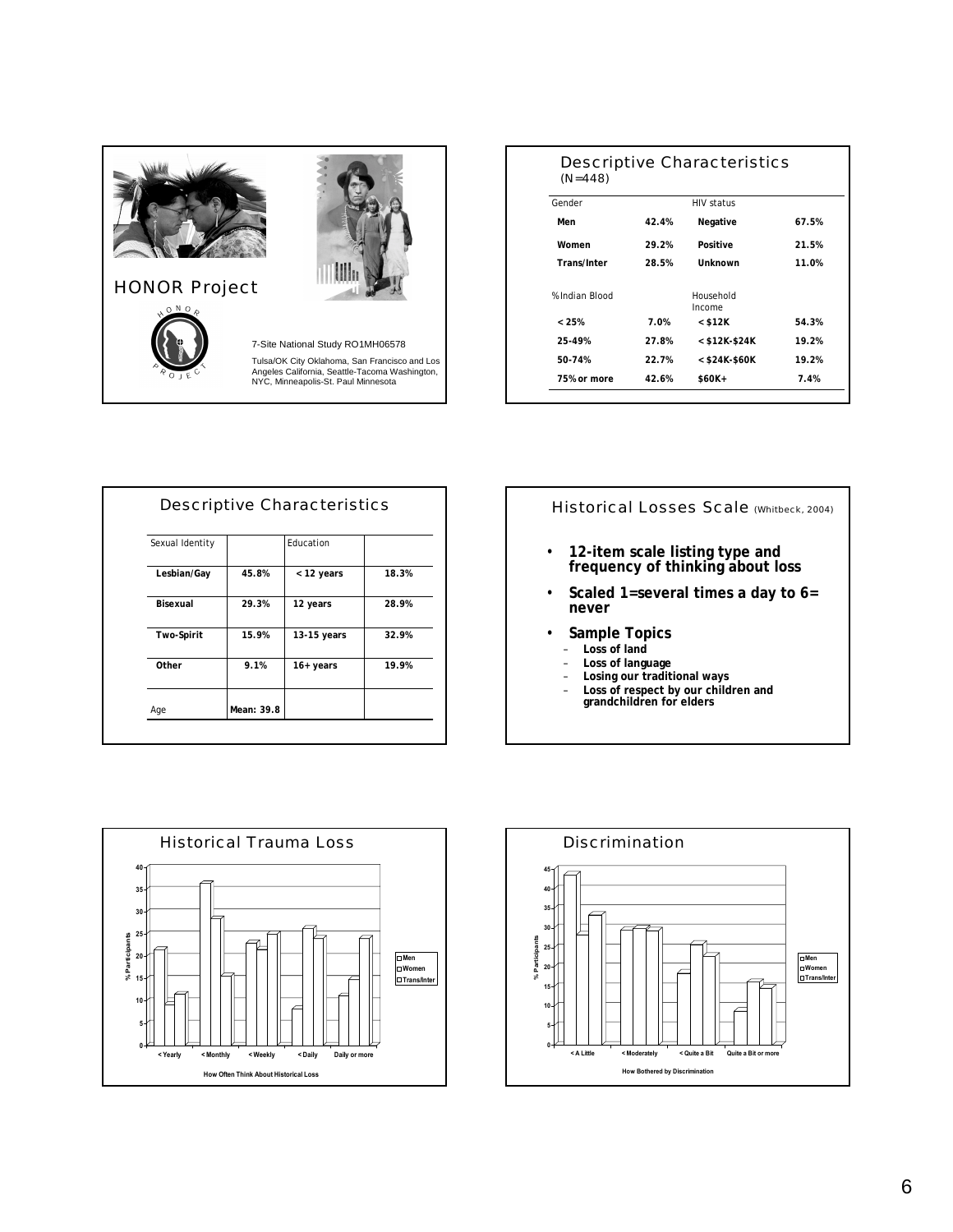

# HONOR Project



7-Site National Study RO1MH06578

Tulsa/OK City Oklahoma, San Francisco and Los Angeles California, Seattle-Tacoma Washington, NYC, Minneapolis-St. Paul Minnesota

| $(N = 448)$        |       | Descriptive Characteristics |       |
|--------------------|-------|-----------------------------|-------|
| Gender             |       | <b>HIV status</b>           |       |
| Men                | 42.4% | Negative                    | 67.5% |
| Women              | 29.2% | Positive                    | 21.5% |
| <b>Trans/Inter</b> | 28.5% | Unknown                     | 11.0% |
| % Indian Blood     |       | Household<br>Income         |       |
| < 25%              | 7.0%  | $<$ \$12K                   | 54.3% |
| 25-49%             | 27.8% | $<$ \$12K-\$24K             | 19.2% |
| 50-74%             | 22.7% | $<$ \$24K-\$60K             | 19.2% |
| 75% or more        | 42.6% | \$60K+                      | 7.4%  |

| Sexual Identity |       | Fducation   |       |
|-----------------|-------|-------------|-------|
| Lesbian/Gay     | 45.8% | < 12 years  | 18.3% |
| Bisexual        | 29.3% | 12 years    | 28.9% |
| Two-Spirit      | 15.9% | 13-15 years | 32.9% |
| Other           | 9.1%  | $16+ years$ | 19.9% |

Historical Losses Scale (Whitbeck, 2004)

- **12-item scale listing type and frequency of thinking about loss**
- **Scaled 1=several times a day to 6= never**
- **Sample Topics**
	- **Loss of land**
	- **Loss of language**
	- **Losing our traditional ways**
	- **Loss of respect by our children and grandchildren for elders**



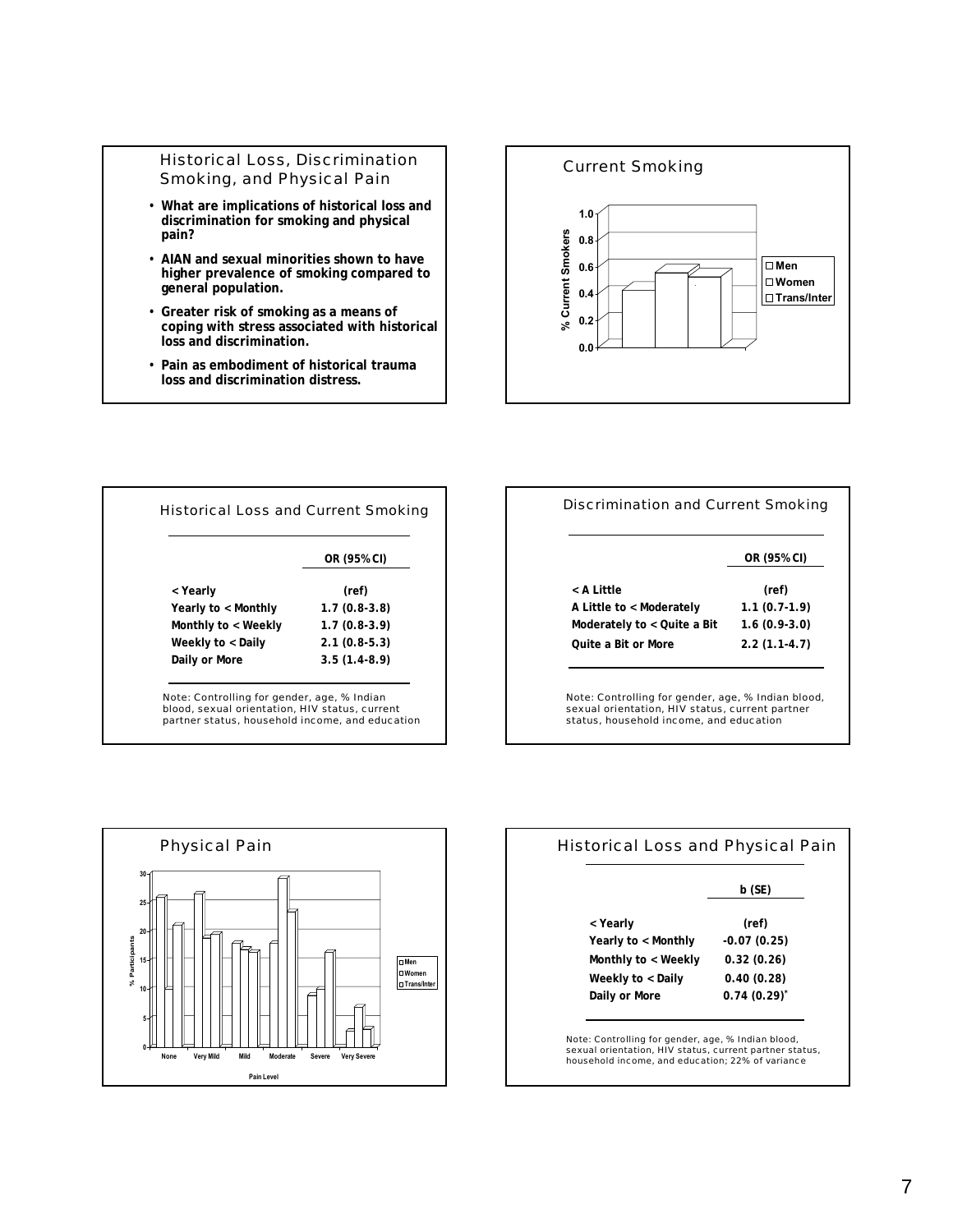## Historical Loss, Discrimination Smoking, and Physical Pain

- **What are implications of historical loss and discrimination for smoking and physical pain?**
- **AIAN and sexual minorities shown to have higher prevalence of smoking compared to general population.**
- **Greater risk of smoking as a means of coping with stress associated with historical loss and discrimination.**
- **Pain as embodiment of historical trauma loss and discrimination distress.**



|                     | OR (95% CI)    |
|---------------------|----------------|
| < Yearly            | (ref)          |
| Yearly to < Monthly | $1.7(0.8-3.8)$ |
| Monthly to < Weekly | $1.7(0.8-3.9)$ |
| Weekly to < Daily   | $2.1(0.8-5.3)$ |
| Daily or More       | $3.5(1.4-8.9)$ |

|                             | OR (95% CI)    |
|-----------------------------|----------------|
| < A Little                  | (ref)          |
| A Little to < Moderately    | $1.1(0.7-1.9)$ |
| Moderately to < Quite a Bit | $1.6(0.9-3.0)$ |
| Ouite a Bit or More         | $2.2(1.1-4.7)$ |

status, household income, and education